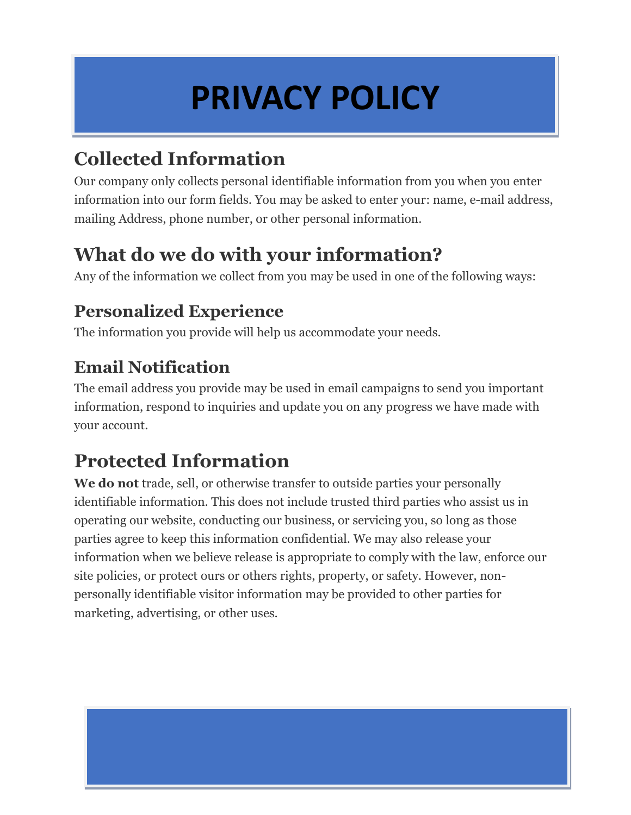## **PRIVACY POLICY**

## **Collected Information**

Our company only collects personal identifiable information from you when you enter information into our form fields. You may be asked to enter your: name, e-mail address, mailing Address, phone number, or other personal information.

### **What do we do with your information?**

Any of the information we collect from you may be used in one of the following ways:

#### **Personalized Experience**

The information you provide will help us accommodate your needs.

### **Email Notification**

The email address you provide may be used in email campaigns to send you important information, respond to inquiries and update you on any progress we have made with your account.

## **Protected Information**

**We do not** trade, sell, or otherwise transfer to outside parties your personally identifiable information. This does not include trusted third parties who assist us in operating our website, conducting our business, or servicing you, so long as those parties agree to keep this information confidential. We may also release your information when we believe release is appropriate to comply with the law, enforce our site policies, or protect ours or others rights, property, or safety. However, nonpersonally identifiable visitor information may be provided to other parties for marketing, advertising, or other uses.